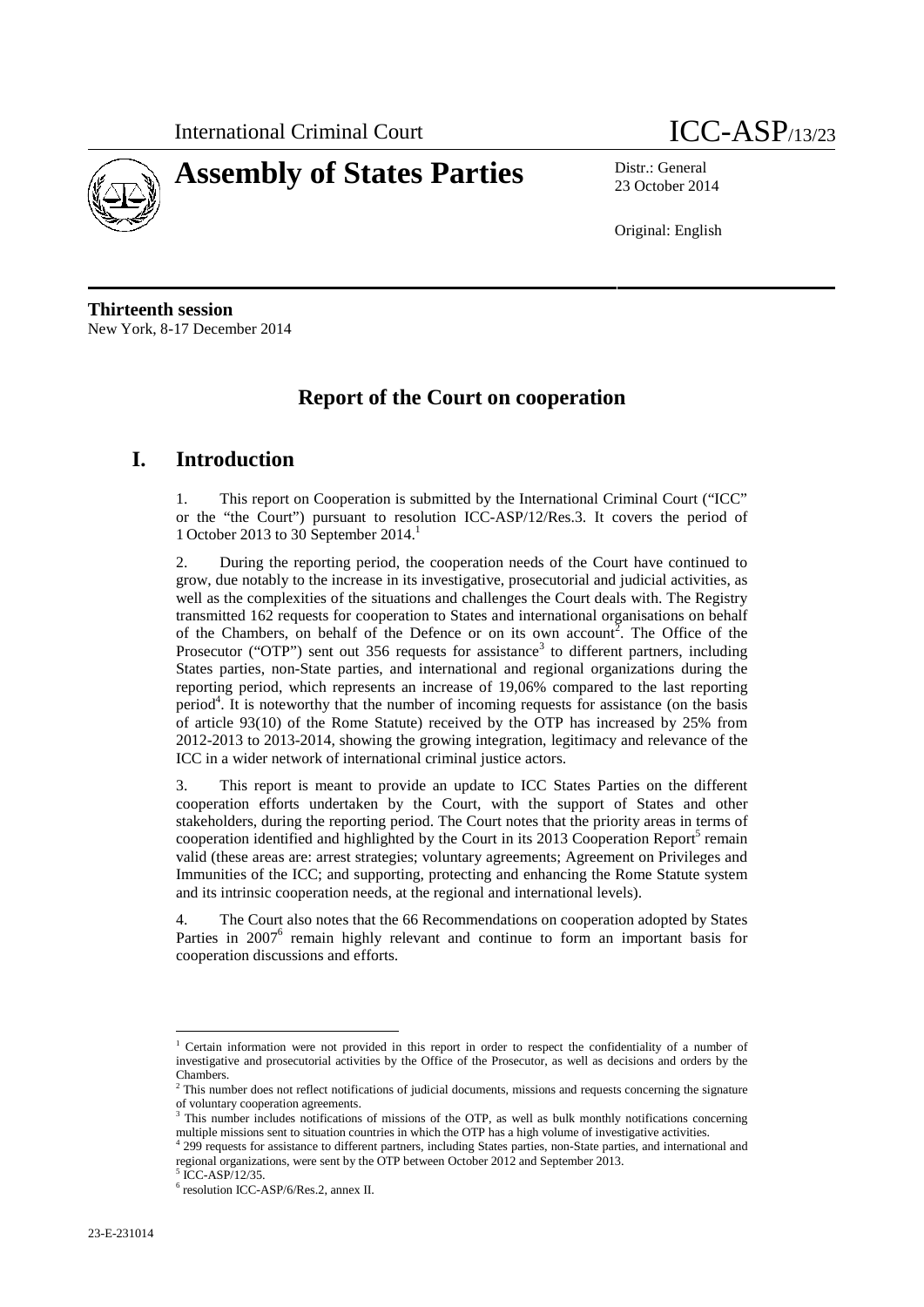

# **Assembly of States Parties** Distr.: General

23 October 2014

Original: English

**Thirteenth session** New York, 8-17 December 2014

## **Report of the Court on cooperation**

## **I. Introduction**

1. This report on Cooperation is submitted by the International Criminal Court ("ICC" or the "the Court") pursuant to resolution ICC-ASP/12/Res.3. It covers the period of 1 October 2013 to 30 September 2014.<sup>1</sup>

2. During the reporting period, the cooperation needs of the Court have continued to grow, due notably to the increase in its investigative, prosecutorial and judicial activities, as well as the complexities of the situations and challenges the Court deals with. The Registry transmitted 162 requests for cooperation to States and international organisations on behalf of the Chambers, on behalf of the Defence or on its own account<sup>2</sup>. The Office of the Prosecutor ("OTP") sent out 356 requests for assistance<sup>3</sup> to different partners, including States parties, non-State parties, and international and regional organizations during the reporting period, which represents an increase of 19,06% compared to the last reporting period<sup>4</sup>. It is noteworthy that the number of incoming requests for assistance (on the basis of article 93(10) of the Rome Statute) received by the OTP has increased by 25% from 2012-2013 to 2013-2014, showing the growing integration, legitimacy and relevance of the ICC in a wider network of international criminal justice actors.

3. This report is meant to provide an update to ICC States Parties on the different cooperation efforts undertaken by the Court, with the support of States and other stakeholders, during the reporting period. The Court notes that the priority areas in terms of cooperation identified and highlighted by the Court in its 2013 Cooperation Report<sup>5</sup> remain valid (these areas are: arrest strategies; voluntary agreements; Agreement on Privileges and Immunities of the ICC; and supporting, protecting and enhancing the Rome Statute system and its intrinsic cooperation needs, at the regional and international levels).

4. The Court also notes that the 66 Recommendations on cooperation adopted by States Parties in 2007<sup>6</sup> remain highly relevant and continue to form an important basis for cooperation discussions and efforts.

<sup>1</sup> Certain information were not provided in this report in order to respect the confidentiality of a number of investigative and prosecutorial activities by the Office of the Prosecutor, as well as decisions and orders by the  $\frac{1}{2}$ Chambers.

<sup>2</sup> This number does not reflect notifications of judicial documents, missions and requests concerning the signature of voluntary cooperation agreements.

 $3$  This number includes notifications of missions of the OTP, as well as bulk monthly notifications concerning multiple missions sent to situation countries in which the OTP has a high volume of investigative activities.

<sup>4 299</sup> requests for assistance to different partners, including States parties, non-State parties, and international and regional organizations, were sent by the OTP between October 2012 and September 2013.

 $^5$  ICC-ASP/12/35.<br> $^6$  resolution ICC-ASP/6/Res.2, annex II.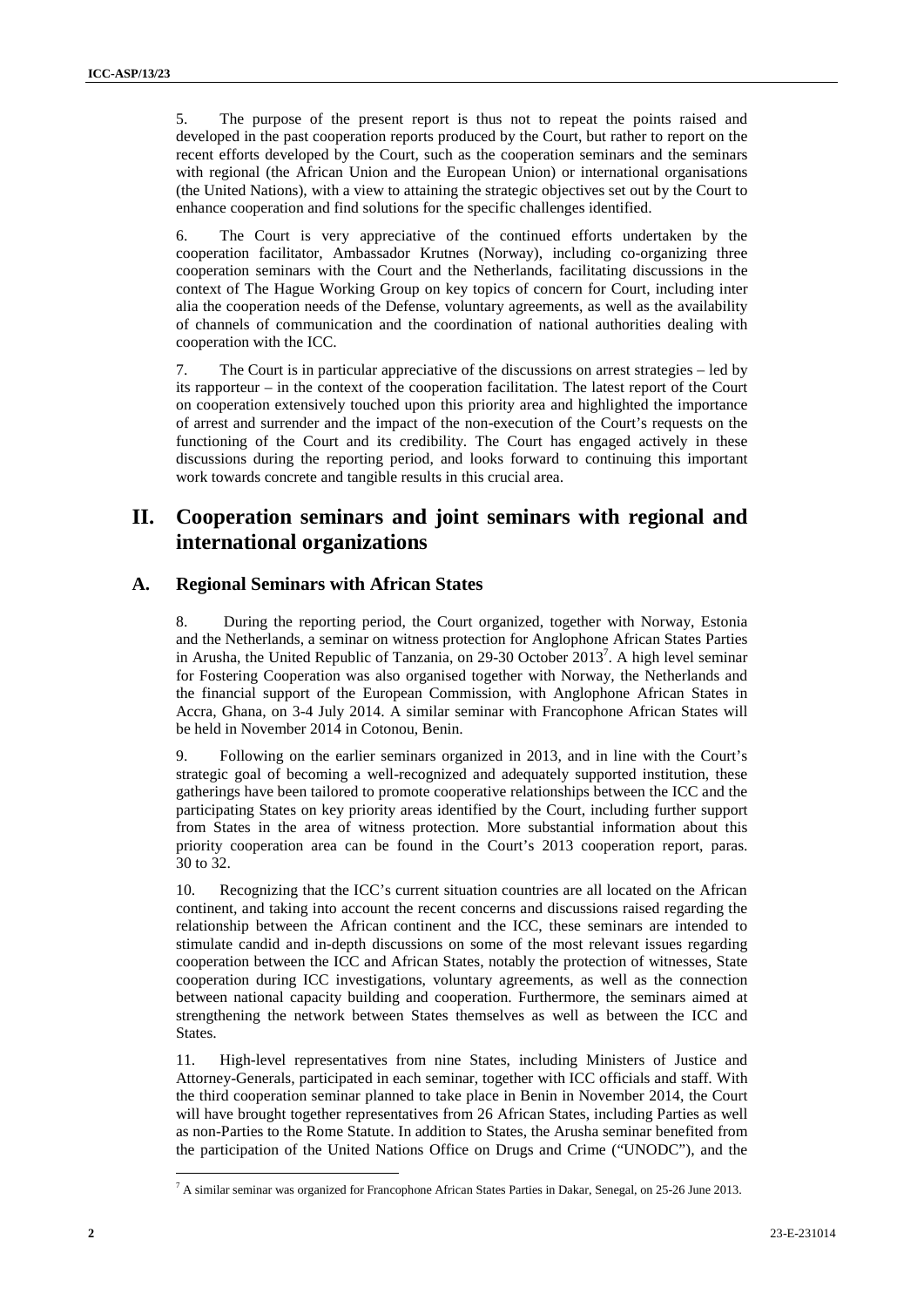5. The purpose of the present report is thus not to repeat the points raised and developed in the past cooperation reports produced by the Court, but rather to report on the recent efforts developed by the Court, such as the cooperation seminars and the seminars with regional (the African Union and the European Union) or international organisations (the United Nations), with a view to attaining the strategic objectives set out by the Court to enhance cooperation and find solutions for the specific challenges identified.

6. The Court is very appreciative of the continued efforts undertaken by the cooperation facilitator, Ambassador Krutnes (Norway), including co-organizing three cooperation seminars with the Court and the Netherlands, facilitating discussions in the context of The Hague Working Group on key topics of concern for Court, including inter alia the cooperation needs of the Defense, voluntary agreements, as well as the availability of channels of communication and the coordination of national authorities dealing with cooperation with the ICC.

7. The Court is in particular appreciative of the discussions on arrest strategies – led by its rapporteur – in the context of the cooperation facilitation. The latest report of the Court on cooperation extensively touched upon this priority area and highlighted the importance of arrest and surrender and the impact of the non-execution of the Court's requests on the functioning of the Court and its credibility. The Court has engaged actively in these discussions during the reporting period, and looks forward to continuing this important work towards concrete and tangible results in this crucial area.

## **II. Cooperation seminars and joint seminars with regional and international organizations**

#### **A. Regional Seminars with African States**

8. During the reporting period, the Court organized, together with Norway, Estonia and the Netherlands, a seminar on witness protection for Anglophone African States Parties in Arusha, the United Republic of Tanzania, on 29-30 October 2013<sup>7</sup>. A high level seminar for Fostering Cooperation was also organised together with Norway, the Netherlands and the financial support of the European Commission, with Anglophone African States in Accra, Ghana, on 3-4 July 2014. A similar seminar with Francophone African States will be held in November 2014 in Cotonou, Benin.

9. Following on the earlier seminars organized in 2013, and in line with the Court's strategic goal of becoming a well-recognized and adequately supported institution, these gatherings have been tailored to promote cooperative relationships between the ICC and the participating States on key priority areas identified by the Court, including further support from States in the area of witness protection. More substantial information about this priority cooperation area can be found in the Court's 2013 cooperation report, paras. 30 to 32.

10. Recognizing that the ICC's current situation countries are all located on the African continent, and taking into account the recent concerns and discussions raised regarding the relationship between the African continent and the ICC, these seminars are intended to stimulate candid and in-depth discussions on some of the most relevant issues regarding cooperation between the ICC and African States, notably the protection of witnesses, State cooperation during ICC investigations, voluntary agreements, as well as the connection between national capacity building and cooperation. Furthermore, the seminars aimed at strengthening the network between States themselves as well as between the ICC and States.

11. High-level representatives from nine States, including Ministers of Justice and Attorney-Generals, participated in each seminar, together with ICC officials and staff. With the third cooperation seminar planned to take place in Benin in November 2014, the Court will have brought together representatives from 26 African States, including Parties as well as non-Parties to the Rome Statute. In addition to States, the Arusha seminar benefited from the participation of the United Nations Office on Drugs and Crime ("UNODC"), and the

<sup>7</sup> A similar seminar was organized for Francophone African States Parties in Dakar, Senegal, on 25-26 June 2013.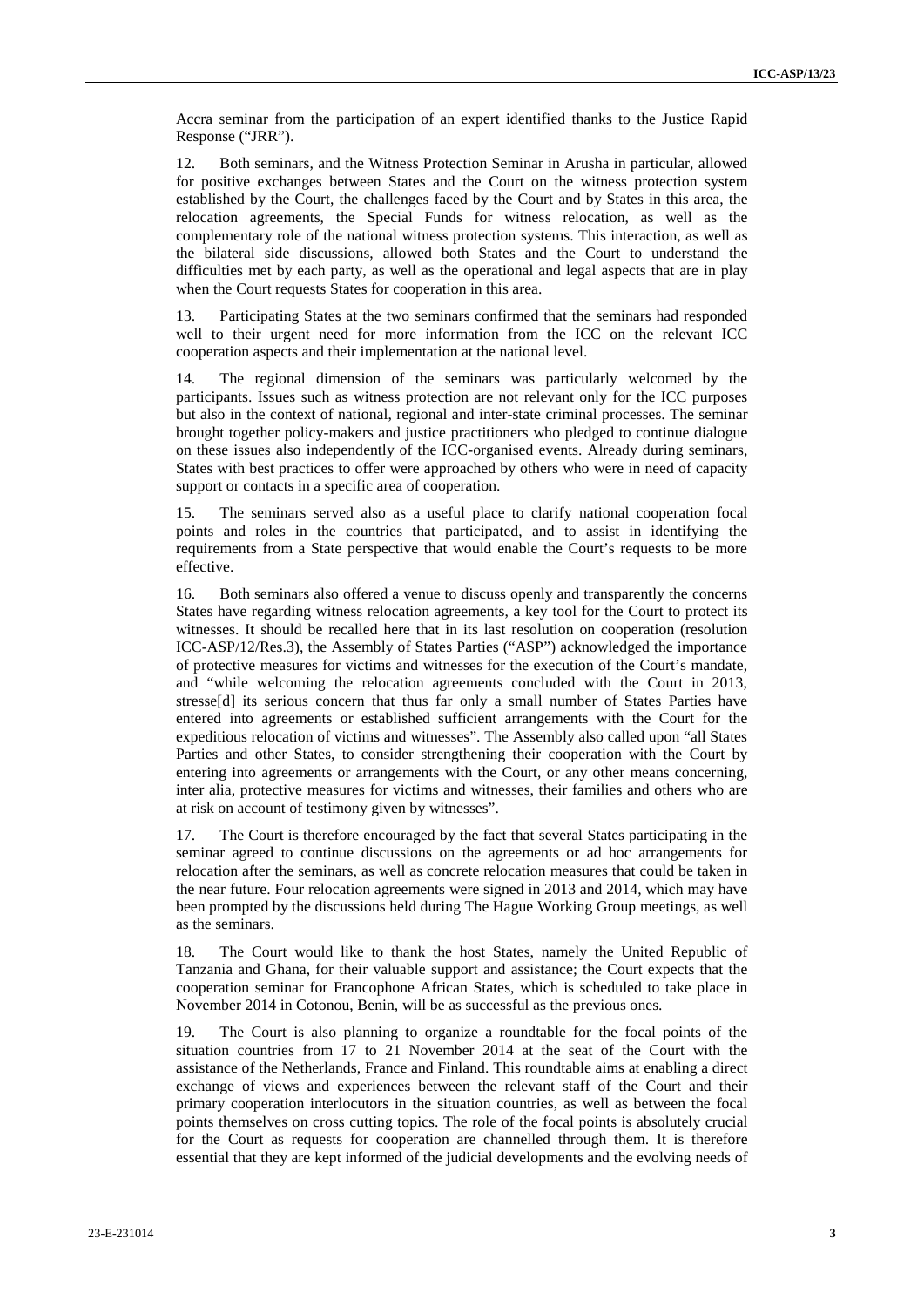Accra seminar from the participation of an expert identified thanks to the Justice Rapid Response ("JRR").

12. Both seminars, and the Witness Protection Seminar in Arusha in particular, allowed for positive exchanges between States and the Court on the witness protection system established by the Court, the challenges faced by the Court and by States in this area, the relocation agreements, the Special Funds for witness relocation, as well as the complementary role of the national witness protection systems. This interaction, as well as the bilateral side discussions, allowed both States and the Court to understand the difficulties met by each party, as well as the operational and legal aspects that are in play when the Court requests States for cooperation in this area.

13. Participating States at the two seminars confirmed that the seminars had responded well to their urgent need for more information from the ICC on the relevant ICC cooperation aspects and their implementation at the national level.

The regional dimension of the seminars was particularly welcomed by the participants. Issues such as witness protection are not relevant only for the ICC purposes but also in the context of national, regional and inter-state criminal processes. The seminar brought together policy-makers and justice practitioners who pledged to continue dialogue on these issues also independently of the ICC-organised events. Already during seminars, States with best practices to offer were approached by others who were in need of capacity support or contacts in a specific area of cooperation.

15. The seminars served also as a useful place to clarify national cooperation focal points and roles in the countries that participated, and to assist in identifying the requirements from a State perspective that would enable the Court's requests to be more effective.

16. Both seminars also offered a venue to discuss openly and transparently the concerns States have regarding witness relocation agreements, a key tool for the Court to protect its witnesses. It should be recalled here that in its last resolution on cooperation (resolution ICC-ASP/12/Res.3), the Assembly of States Parties ("ASP") acknowledged the importance of protective measures for victims and witnesses for the execution of the Court's mandate, and "while welcoming the relocation agreements concluded with the Court in 2013, stresse[d] its serious concern that thus far only a small number of States Parties have entered into agreements or established sufficient arrangements with the Court for the expeditious relocation of victims and witnesses". The Assembly also called upon "all States Parties and other States, to consider strengthening their cooperation with the Court by entering into agreements or arrangements with the Court, or any other means concerning, inter alia, protective measures for victims and witnesses, their families and others who are at risk on account of testimony given by witnesses".

The Court is therefore encouraged by the fact that several States participating in the seminar agreed to continue discussions on the agreements or ad hoc arrangements for relocation after the seminars, as well as concrete relocation measures that could be taken in the near future. Four relocation agreements were signed in 2013 and 2014, which may have been prompted by the discussions held during The Hague Working Group meetings, as well as the seminars.

18. The Court would like to thank the host States, namely the United Republic of Tanzania and Ghana, for their valuable support and assistance; the Court expects that the cooperation seminar for Francophone African States, which is scheduled to take place in November 2014 in Cotonou, Benin, will be as successful as the previous ones.

19. The Court is also planning to organize a roundtable for the focal points of the situation countries from 17 to 21 November 2014 at the seat of the Court with the assistance of the Netherlands, France and Finland. This roundtable aims at enabling a direct exchange of views and experiences between the relevant staff of the Court and their primary cooperation interlocutors in the situation countries, as well as between the focal points themselves on cross cutting topics. The role of the focal points is absolutely crucial for the Court as requests for cooperation are channelled through them. It is therefore essential that they are kept informed of the judicial developments and the evolving needs of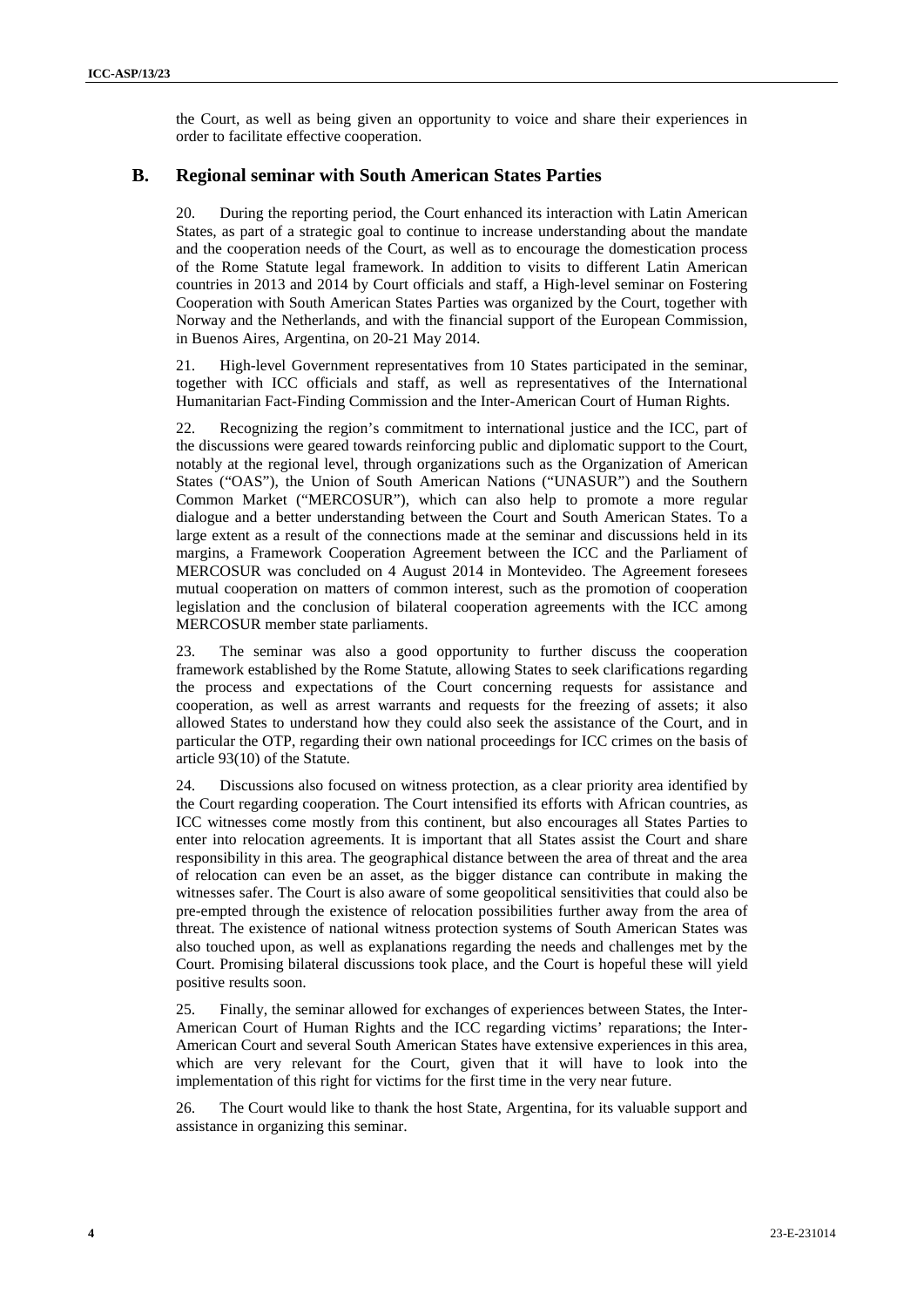the Court, as well as being given an opportunity to voice and share their experiences in order to facilitate effective cooperation.

#### **B. Regional seminar with South American States Parties**

20. During the reporting period, the Court enhanced its interaction with Latin American States, as part of a strategic goal to continue to increase understanding about the mandate and the cooperation needs of the Court, as well as to encourage the domestication process of the Rome Statute legal framework. In addition to visits to different Latin American countries in 2013 and 2014 by Court officials and staff, a High-level seminar on Fostering Cooperation with South American States Parties was organized by the Court, together with Norway and the Netherlands, and with the financial support of the European Commission, in Buenos Aires, Argentina, on 20-21 May 2014.

21. High-level Government representatives from 10 States participated in the seminar, together with ICC officials and staff, as well as representatives of the International Humanitarian Fact-Finding Commission and the Inter-American Court of Human Rights.

22. Recognizing the region's commitment to international justice and the ICC, part of the discussions were geared towards reinforcing public and diplomatic support to the Court, notably at the regional level, through organizations such as the Organization of American States ("OAS"), the Union of South American Nations ("UNASUR") and the Southern Common Market ("MERCOSUR"), which can also help to promote a more regular dialogue and a better understanding between the Court and South American States. To a large extent as a result of the connections made at the seminar and discussions held in its margins, a Framework Cooperation Agreement between the ICC and the Parliament of MERCOSUR was concluded on 4 August 2014 in Montevideo. The Agreement foresees mutual cooperation on matters of common interest, such as the promotion of cooperation legislation and the conclusion of bilateral cooperation agreements with the ICC among MERCOSUR member state parliaments.

23. The seminar was also a good opportunity to further discuss the cooperation framework established by the Rome Statute, allowing States to seek clarifications regarding the process and expectations of the Court concerning requests for assistance and cooperation, as well as arrest warrants and requests for the freezing of assets; it also allowed States to understand how they could also seek the assistance of the Court, and in particular the OTP, regarding their own national proceedings for ICC crimes on the basis of article 93(10) of the Statute.

24. Discussions also focused on witness protection, as a clear priority area identified by the Court regarding cooperation. The Court intensified its efforts with African countries, as ICC witnesses come mostly from this continent, but also encourages all States Parties to enter into relocation agreements. It is important that all States assist the Court and share responsibility in this area. The geographical distance between the area of threat and the area of relocation can even be an asset, as the bigger distance can contribute in making the witnesses safer. The Court is also aware of some geopolitical sensitivities that could also be pre-empted through the existence of relocation possibilities further away from the area of threat. The existence of national witness protection systems of South American States was also touched upon, as well as explanations regarding the needs and challenges met by the Court. Promising bilateral discussions took place, and the Court is hopeful these will yield positive results soon.

25. Finally, the seminar allowed for exchanges of experiences between States, the Inter- American Court of Human Rights and the ICC regarding victims' reparations; the Inter- American Court and several South American States have extensive experiences in this area, which are very relevant for the Court, given that it will have to look into the implementation of this right for victims for the first time in the very near future.

26. The Court would like to thank the host State, Argentina, for its valuable support and assistance in organizing this seminar.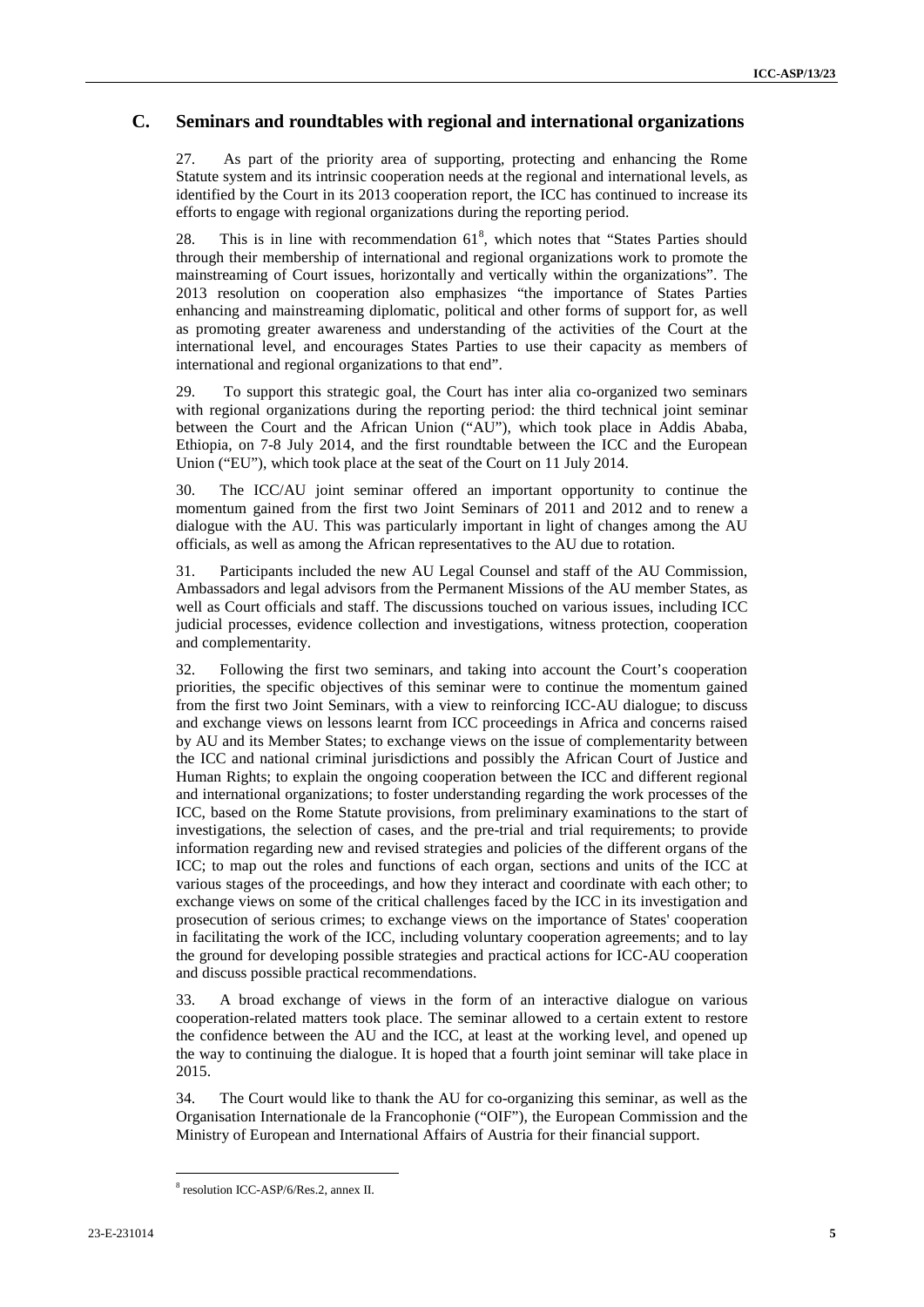### **C. Seminars and roundtables with regional and international organizations**

27. As part of the priority area of supporting, protecting and enhancing the Rome Statute system and its intrinsic cooperation needs at the regional and international levels, as identified by the Court in its 2013 cooperation report, the ICC has continued to increase its efforts to engage with regional organizations during the reporting period.

28. This is in line with recommendation  $61^8$ , which notes that "States Parties should through their membership of international and regional organizations work to promote the mainstreaming of Court issues, horizontally and vertically within the organizations". The 2013 resolution on cooperation also emphasizes "the importance of States Parties enhancing and mainstreaming diplomatic, political and other forms of support for, as well as promoting greater awareness and understanding of the activities of the Court at the international level, and encourages States Parties to use their capacity as members of international and regional organizations to that end".

29. To support this strategic goal, the Court has inter alia co-organized two seminars with regional organizations during the reporting period: the third technical joint seminar between the Court and the African Union ("AU"), which took place in Addis Ababa, Ethiopia, on 7-8 July 2014, and the first roundtable between the ICC and the European Union ("EU"), which took place at the seat of the Court on 11 July 2014.

30. The ICC/AU joint seminar offered an important opportunity to continue the momentum gained from the first two Joint Seminars of 2011 and 2012 and to renew a dialogue with the AU. This was particularly important in light of changes among the AU officials, as well as among the African representatives to the AU due to rotation.

31. Participants included the new AU Legal Counsel and staff of the AU Commission, Ambassadors and legal advisors from the Permanent Missions of the AU member States, as well as Court officials and staff. The discussions touched on various issues, including ICC judicial processes, evidence collection and investigations, witness protection, cooperation and complementarity.

32. Following the first two seminars, and taking into account the Court's cooperation priorities, the specific objectives of this seminar were to continue the momentum gained from the first two Joint Seminars, with a view to reinforcing ICC-AU dialogue; to discuss and exchange views on lessons learnt from ICC proceedings in Africa and concerns raised by AU and its Member States; to exchange views on the issue of complementarity between the ICC and national criminal jurisdictions and possibly the African Court of Justice and Human Rights; to explain the ongoing cooperation between the ICC and different regional and international organizations; to foster understanding regarding the work processes of the ICC, based on the Rome Statute provisions, from preliminary examinations to the start of investigations, the selection of cases, and the pre-trial and trial requirements; to provide information regarding new and revised strategies and policies of the different organs of the ICC; to map out the roles and functions of each organ, sections and units of the ICC at various stages of the proceedings, and how they interact and coordinate with each other; to exchange views on some of the critical challenges faced by the ICC in its investigation and prosecution of serious crimes; to exchange views on the importance of States' cooperation in facilitating the work of the ICC, including voluntary cooperation agreements; and to lay the ground for developing possible strategies and practical actions for ICC-AU cooperation and discuss possible practical recommendations.

33. A broad exchange of views in the form of an interactive dialogue on various cooperation-related matters took place. The seminar allowed to a certain extent to restore the confidence between the AU and the ICC, at least at the working level, and opened up the way to continuing the dialogue. It is hoped that a fourth joint seminar will take place in 2015.

34. The Court would like to thank the AU for co-organizing this seminar, as well as the Organisation Internationale de la Francophonie ("OIF"), the European Commission and the Ministry of European and International Affairs of Austria for their financial support.

<sup>8</sup> resolution ICC-ASP/6/Res.2, annex II.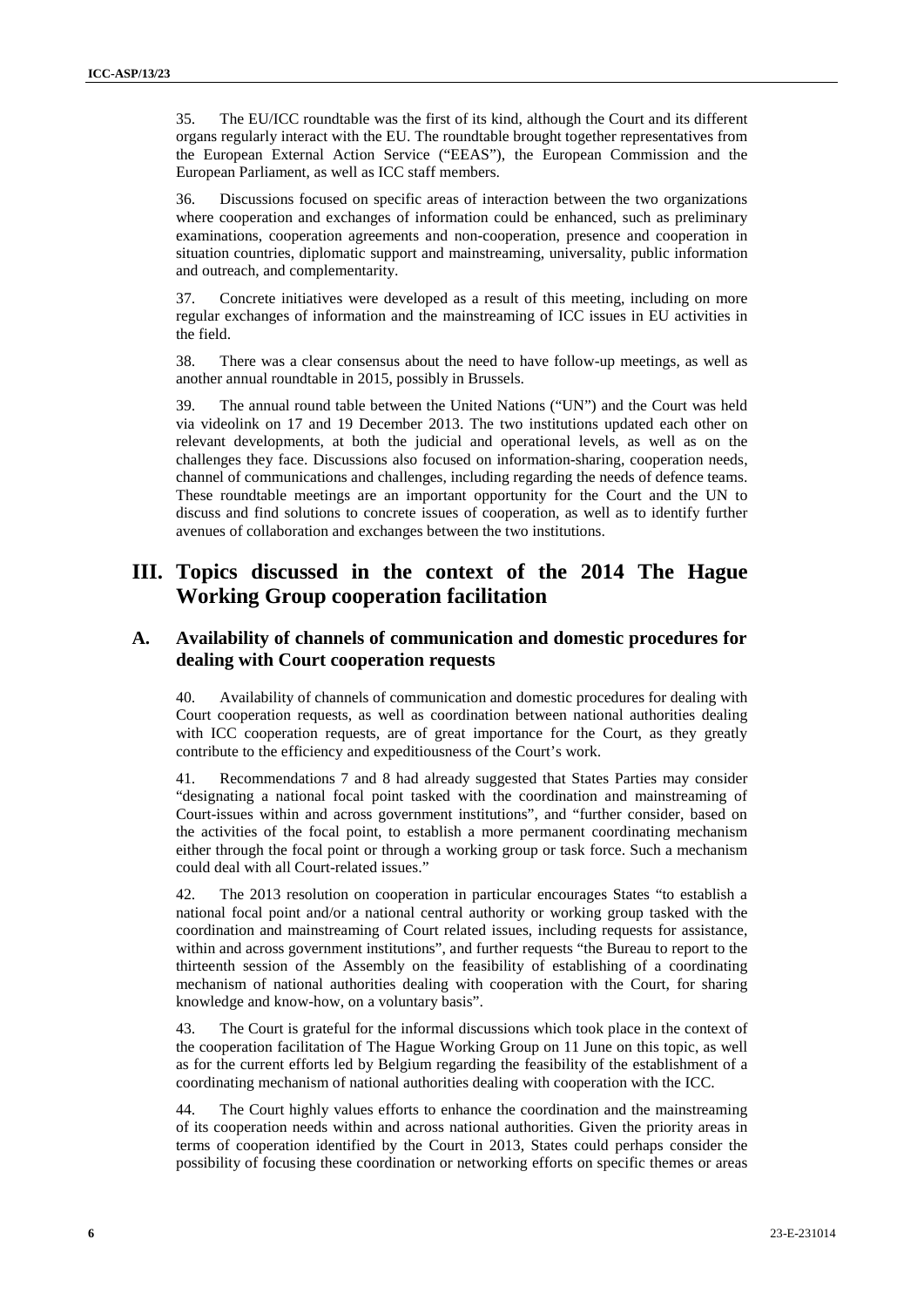35. The EU/ICC roundtable was the first of its kind, although the Court and its different organs regularly interact with the EU. The roundtable brought together representatives from the European External Action Service ("EEAS"), the European Commission and the European Parliament, as well as ICC staff members.

36. Discussions focused on specific areas of interaction between the two organizations where cooperation and exchanges of information could be enhanced, such as preliminary examinations, cooperation agreements and non-cooperation, presence and cooperation in situation countries, diplomatic support and mainstreaming, universality, public information and outreach, and complementarity.

37. Concrete initiatives were developed as a result of this meeting, including on more regular exchanges of information and the mainstreaming of ICC issues in EU activities in the field.

38. There was a clear consensus about the need to have follow-up meetings, as well as another annual roundtable in 2015, possibly in Brussels.

39. The annual round table between the United Nations ("UN") and the Court was held via videolink on 17 and 19 December 2013. The two institutions updated each other on relevant developments, at both the judicial and operational levels, as well as on the challenges they face. Discussions also focused on information-sharing, cooperation needs, channel of communications and challenges, including regarding the needs of defence teams. These roundtable meetings are an important opportunity for the Court and the UN to discuss and find solutions to concrete issues of cooperation, as well as to identify further avenues of collaboration and exchanges between the two institutions.

## **III. Topics discussed in the context of the 2014 The Hague Working Group cooperation facilitation**

#### **A. Availability of channels of communication and domestic procedures for dealing with Court cooperation requests**

40. Availability of channels of communication and domestic procedures for dealing with Court cooperation requests, as well as coordination between national authorities dealing with ICC cooperation requests, are of great importance for the Court, as they greatly contribute to the efficiency and expeditiousness of the Court's work.

41. Recommendations 7 and 8 had already suggested that States Parties may consider "designating a national focal point tasked with the coordination and mainstreaming of Court-issues within and across government institutions", and "further consider, based on the activities of the focal point, to establish a more permanent coordinating mechanism either through the focal point or through a working group or task force. Such a mechanism could deal with all Court-related issues."

42. The 2013 resolution on cooperation in particular encourages States "to establish a national focal point and/or a national central authority or working group tasked with the coordination and mainstreaming of Court related issues, including requests for assistance, within and across government institutions", and further requests "the Bureau to report to the thirteenth session of the Assembly on the feasibility of establishing of a coordinating mechanism of national authorities dealing with cooperation with the Court, for sharing knowledge and know-how, on a voluntary basis".

43. The Court is grateful for the informal discussions which took place in the context of the cooperation facilitation of The Hague Working Group on 11 June on this topic, as well as for the current efforts led by Belgium regarding the feasibility of the establishment of a coordinating mechanism of national authorities dealing with cooperation with the ICC.

44. The Court highly values efforts to enhance the coordination and the mainstreaming of its cooperation needs within and across national authorities. Given the priority areas in terms of cooperation identified by the Court in 2013, States could perhaps consider the possibility of focusing these coordination or networking efforts on specific themes or areas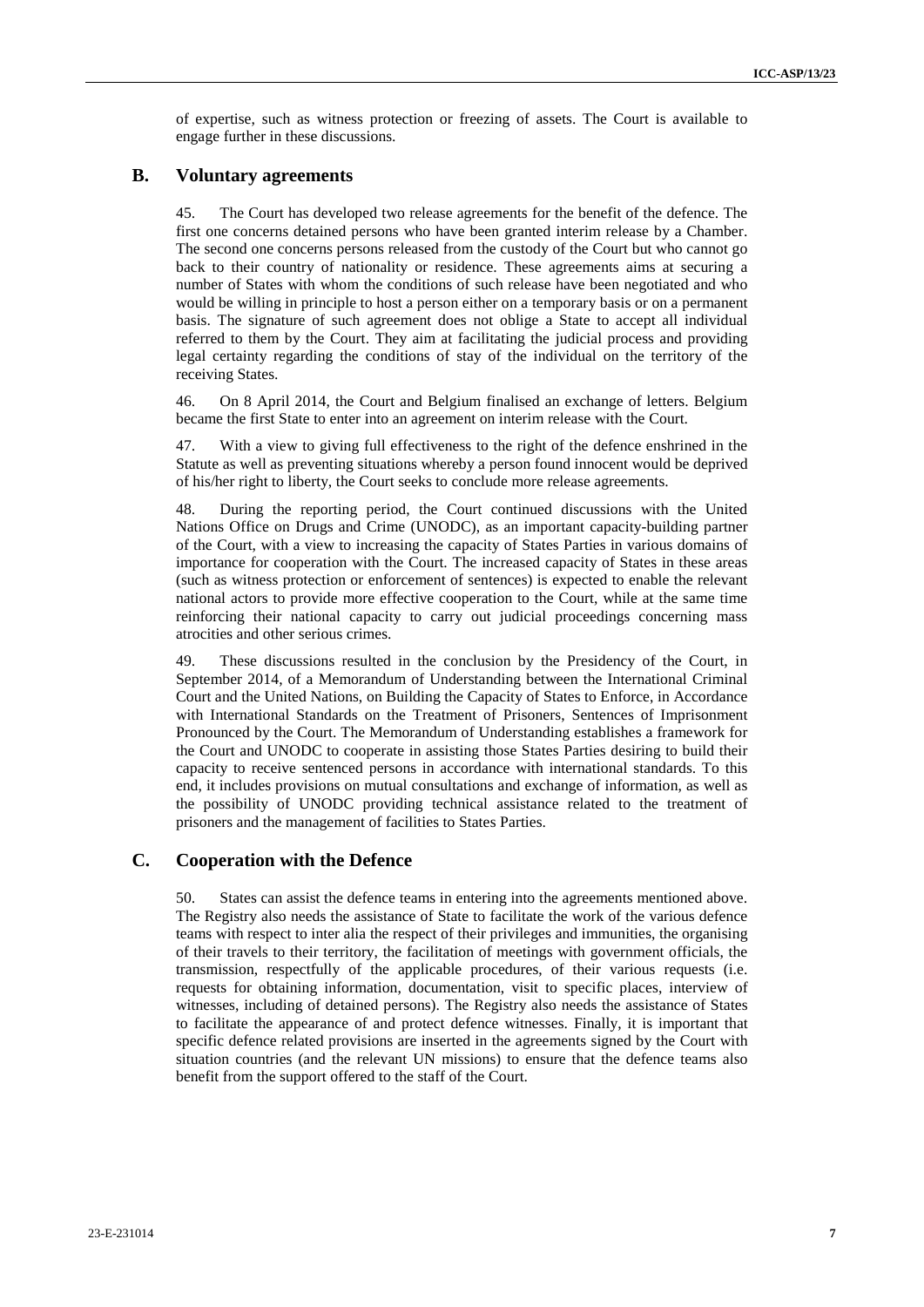of expertise, such as witness protection or freezing of assets. The Court is available to engage further in these discussions.

#### **B. Voluntary agreements**

45. The Court has developed two release agreements for the benefit of the defence. The first one concerns detained persons who have been granted interim release by a Chamber. The second one concerns persons released from the custody of the Court but who cannot go back to their country of nationality or residence. These agreements aims at securing a number of States with whom the conditions of such release have been negotiated and who would be willing in principle to host a person either on a temporary basis or on a permanent basis. The signature of such agreement does not oblige a State to accept all individual referred to them by the Court. They aim at facilitating the judicial process and providing legal certainty regarding the conditions of stay of the individual on the territory of the receiving States.

46. On 8 April 2014, the Court and Belgium finalised an exchange of letters. Belgium became the first State to enter into an agreement on interim release with the Court.

47. With a view to giving full effectiveness to the right of the defence enshrined in the Statute as well as preventing situations whereby a person found innocent would be deprived of his/her right to liberty, the Court seeks to conclude more release agreements.

48. During the reporting period, the Court continued discussions with the United Nations Office on Drugs and Crime (UNODC), as an important capacity-building partner of the Court, with a view to increasing the capacity of States Parties in various domains of importance for cooperation with the Court. The increased capacity of States in these areas (such as witness protection or enforcement of sentences) is expected to enable the relevant national actors to provide more effective cooperation to the Court, while at the same time reinforcing their national capacity to carry out judicial proceedings concerning mass atrocities and other serious crimes.

49. These discussions resulted in the conclusion by the Presidency of the Court, in September 2014, of a Memorandum of Understanding between the International Criminal Court and the United Nations, on Building the Capacity of States to Enforce, in Accordance with International Standards on the Treatment of Prisoners, Sentences of Imprisonment Pronounced by the Court. The Memorandum of Understanding establishes a framework for the Court and UNODC to cooperate in assisting those States Parties desiring to build their capacity to receive sentenced persons in accordance with international standards. To this end, it includes provisions on mutual consultations and exchange of information, as well as the possibility of UNODC providing technical assistance related to the treatment of prisoners and the management of facilities to States Parties.

#### **C. Cooperation with the Defence**

50. States can assist the defence teams in entering into the agreements mentioned above. The Registry also needs the assistance of State to facilitate the work of the various defence teams with respect to inter alia the respect of their privileges and immunities, the organising of their travels to their territory, the facilitation of meetings with government officials, the transmission, respectfully of the applicable procedures, of their various requests (i.e. requests for obtaining information, documentation, visit to specific places, interview of witnesses, including of detained persons). The Registry also needs the assistance of States to facilitate the appearance of and protect defence witnesses. Finally, it is important that specific defence related provisions are inserted in the agreements signed by the Court with situation countries (and the relevant UN missions) to ensure that the defence teams also benefit from the support offered to the staff of the Court.